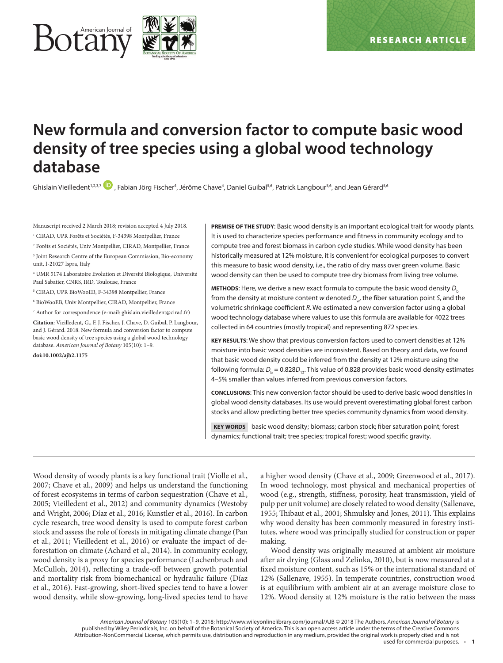

# **New formula and conversion factor to compute basic wood density of tree species using a global wood technology database**

Ghislain Vieilledent<sup>1,2,3,7</sup> , Fabian Jörg Fischer<sup>4</sup>, Jérôme Chave<sup>4</sup>, Daniel Guibal<sup>5,6</sup>, Patrick Langbour<sup>5,6</sup>, and Jean Gérard<sup>5,6</sup>

Manuscript received 2 March 2018; revision accepted 4 July 2018.

<sup>1</sup> CIRAD, UPR Forêts et Sociétés, F-34398 Montpellier, France

2 Forêts et Sociétés, Univ Montpellier, CIRAD, Montpellier, France

<sup>3</sup> Joint Research Centre of the European Commission, Bio-economy unit, I-21027 Ispra, Italy

4 UMR 5174 Laboratoire Evolution et Diversité Biologique, Université Paul Sabatier, CNRS, IRD, Toulouse, France

5 CIRAD, UPR BioWooEB, F-34398 Montpellier, France

6 BioWooEB, Univ Montpellier, CIRAD, Montpellier, France

7 Author for correspondence (e-mail: [ghislain.vieilledent@cirad.fr](mailto:ghislain.vieilledent@cirad.fr))

**Citation**: Vieilledent, G., F. J. Fischer, J. Chave, D. Guibal, P. Langbour, and J. Gérard. 2018. New formula and conversion factor to compute basic wood density of tree species using a global wood technology database. *American Journal of Botany* 105(10): 1–9.

**doi:10.1002/ajb2.1175**

**PREMISE OF THE STUDY**: Basic wood density is an important ecological trait for woody plants. It is used to characterize species performance and fitness in community ecology and to compute tree and forest biomass in carbon cycle studies. While wood density has been historically measured at 12% moisture, it is convenient for ecological purposes to convert this measure to basic wood density, i.e., the ratio of dry mass over green volume. Basic wood density can then be used to compute tree dry biomass from living tree volume.

**METHODS**: Here, we derive a new exact formula to compute the basic wood density *D*<sup>b</sup> from the density at moisture content *w* denoted *D<sub>w</sub>*, the fiber saturation point *S*, and the volumetric shrinkage coefficient *R*. We estimated a new conversion factor using a global wood technology database where values to use this formula are available for 4022 trees collected in 64 countries (mostly tropical) and representing 872 species.

**KEY RESULTS**: We show that previous conversion factors used to convert densities at 12% moisture into basic wood densities are inconsistent. Based on theory and data, we found that basic wood density could be inferred from the density at 12% moisture using the following formula:  $D_{_{\rm b}}$  = 0.828 $D_{_{12}}$ . This value of 0.828 provides basic wood density estimates 4–5% smaller than values inferred from previous conversion factors.

**CONCLUSIONS**: This new conversion factor should be used to derive basic wood densities in global wood density databases. Its use would prevent overestimating global forest carbon stocks and allow predicting better tree species community dynamics from wood density.

 **KEY WORDS** basic wood density; biomass; carbon stock; fiber saturation point; forest dynamics; functional trait; tree species; tropical forest; wood specific gravity.

Wood density of woody plants is a key functional trait (Violle et al., 2007; Chave et al., 2009) and helps us understand the functioning of forest ecosystems in terms of carbon sequestration (Chave et al., 2005; Vieilledent et al., 2012) and community dynamics (Westoby and Wright, 2006; Díaz et al., 2016; Kunstler et al., 2016). In carbon cycle research, tree wood density is used to compute forest carbon stock and assess the role of forests in mitigating climate change (Pan et al., 2011; Vieilledent et al., 2016) or evaluate the impact of deforestation on climate (Achard et al., 2014). In community ecology, wood density is a proxy for species performance (Lachenbruch and McCulloh, 2014), reflecting a trade-off between growth potential and mortality risk from biomechanical or hydraulic failure (Díaz et al., 2016). Fast-growing, short-lived species tend to have a lower wood density, while slow-growing, long-lived species tend to have

a higher wood density (Chave et al., 2009; Greenwood et al., 2017). In wood technology, most physical and mechanical properties of wood (e.g., strength, stiffness, porosity, heat transmission, yield of pulp per unit volume) are closely related to wood density (Sallenave, 1955; Thibaut et al., 2001; Shmulsky and Jones, 2011). This explains why wood density has been commonly measured in forestry institutes, where wood was principally studied for construction or paper making.

Wood density was originally measured at ambient air moisture after air drying (Glass and Zelinka, 2010), but is now measured at a fixed moisture content, such as 15% or the international standard of 12% (Sallenave, 1955). In temperate countries, construction wood is at equilibrium with ambient air at an average moisture close to 12%. Wood density at 12% moisture is the ratio between the mass

*American Journal of Botany* 105(10): 1–9, 2018; http://www.wileyonlinelibrary.com/journal/AJB © 2018 The Authors. *American Journal of Botany* is published by Wiley Periodicals, Inc. on behalf of the Botanical Society of America. This is an open access article under the terms of the [Creative Commons](http://creativecommons.org/licenses/by-nc/4.0/) [Attribution-NonCommercial](http://creativecommons.org/licenses/by-nc/4.0/) License, which permits use, distribution and reproduction in any medium, provided the original work is properly cited and is not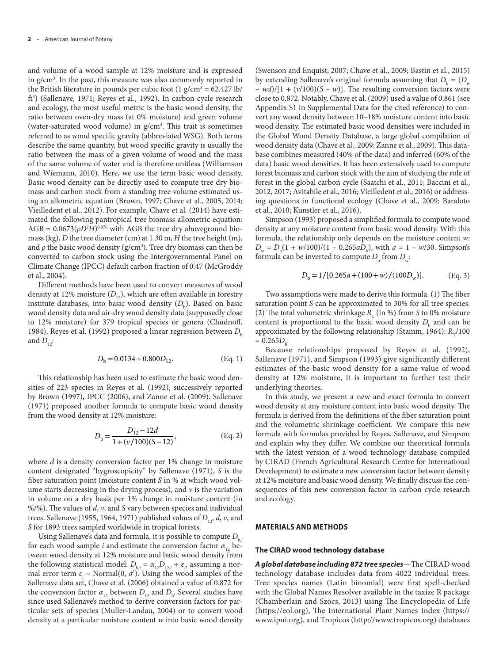and volume of a wood sample at 12% moisture and is expressed in g/cm3 . In the past, this measure was also commonly reported in the British literature in pounds per cubic foot  $(1 \text{ g/cm}^3 = 62.427 \text{ lb}$ ft3 ) (Sallenave, 1971; Reyes et al., 1992). In carbon cycle research and ecology, the most useful metric is the basic wood density, the ratio between oven-dry mass (at 0% moisture) and green volume (water-saturated wood volume) in  $g/cm<sup>3</sup>$ . This trait is sometimes referred to as wood specific gravity (abbreviated WSG). Both terms describe the same quantity, but wood specific gravity is usually the ratio between the mass of a given volume of wood and the mass of the same volume of water and is therefore unitless (Williamson and Wiemann, 2010). Here, we use the term basic wood density. Basic wood density can be directly used to compute tree dry biomass and carbon stock from a standing tree volume estimated using an allometric equation (Brown, 1997; Chave et al., 2005, 2014; Vieilledent et al., 2012). For example, Chave et al. (2014) have estimated the following pantropical tree biomass allometric equation:  $AGB = 0.0673(\rho D^2H)^{0.976}$  with AGB the tree dry aboveground biomass (kg), *D* the tree diameter (cm) at 1.30 m, *H* the tree height (m), and  $\rho$  the basic wood density ( $g/cm<sup>3</sup>$ ). Tree dry biomass can then be converted to carbon stock using the Intergovernmental Panel on Climate Change (IPCC) default carbon fraction of 0.47 (McGroddy et al., 2004).

Different methods have been used to convert measures of wood density at 12% moisture  $(D_{12})$ , which are often available in forestry institute databases, into basic wood density  $(D_b)$ . Based on basic wood density data and air-dry wood density data (supposedly close to 12% moisture) for 379 tropical species or genera (Chudnoff, 1984), Reyes et al. (1992) proposed a linear regression between *D*<sup>b</sup> and  $D_{12}$ :

$$
D_{\rm b} = 0.0134 + 0.800 D_{12}.
$$
 (Eq. 1)

This relationship has been used to estimate the basic wood densities of 223 species in Reyes et al. (1992), successively reported by Brown (1997), IPCC (2006), and Zanne et al. (2009). Sallenave (1971) proposed another formula to compute basic wood density from the wood density at 12% moisture:

$$
D_{\rm b} = \frac{D_{12} - 12d}{1 + (\nu/100)(S - 12)},
$$
 (Eq. 2)

where *d* is a density conversion factor per 1% change in moisture content designated "hygroscopicity" by Sallenave (1971), *S* is the fiber saturation point (moisture content *S* in % at which wood volume starts decreasing in the drying process), and *v* is the variation in volume on a dry basis per 1% change in moisture content (in %/%). The values of *d*, *v*, and *S* vary between species and individual trees. Sallenave (1955, 1964, 1971) published values of  $D_1$ , *d*, *v*, and *S* for 1893 trees sampled worldwide in tropical forests.

Using Sallenave's data and formula, it is possible to compute *D*b*,i* for each wood sample *i* and estimate the conversion factor  $\alpha_{12}$  between wood density at 12% moisture and basic wood density from the following statistical model:  $D_{b,i} = \alpha_{12} D_{12,i} + \varepsilon_i$ , assuming a normal error term  $\varepsilon$ <sub>*i*</sub> ~ Normal(0,  $\sigma$ <sup>2</sup>). Using the wood samples of the Sallenave data set, Chave et al. (2006) obtained a value of 0.872 for the conversion factor  $\alpha_{12}$  between  $D_{12}$  and  $D_{b}$ . Several studies have since used Sallenave's method to derive conversion factors for particular sets of species (Muller-Landau, 2004) or to convert wood density at a particular moisture content *w* into basic wood density

(Swenson and Enquist, 2007; Chave et al., 2009; Bastin et al., 2015) by extending Sallenave's original formula assuming that  $D_{\text{b}} = (D_{\text{w}})$ – *wd*)/[1 + (*v*/100)(*S – w*)]. The resulting conversion factors were close to 0.872. Notably, Chave et al. (2009) used a value of 0.861 (see Appendix S1 in Supplemental Data for the cited reference) to convert any wood density between 10–18% moisture content into basic wood density. The estimated basic wood densities were included in the Global Wood Density Database, a large global compilation of wood density data (Chave et al., 2009; Zanne et al., 2009). This database combines measured (40% of the data) and inferred (60% of the data) basic wood densities. It has been extensively used to compute forest biomass and carbon stock with the aim of studying the role of forest in the global carbon cycle (Saatchi et al., 2011; Baccini et al., 2012, 2017; Avitabile et al., 2016; Vieilledent et al., 2016) or addressing questions in functional ecology (Chave et al., 2009; Baraloto et al., 2010; Kunstler et al., 2016).

Simpson (1993) proposed a simplified formula to compute wood density at any moisture content from basic wood density. With this formula, the relationship only depends on the moisture content *w:*   $D_w = D_b(1 + w/100)/(1 - 0.265aD_b)$ , with  $a = 1 - w/30$ . Simpson's formula can be inverted to compute  $D_{\text{b}}^{\text{}}$  from  $D_{\text{w}}^{\text{}}$ :

$$
D_{\rm b} = 1/[0.265a + (100 + w)/(100D_{\rm w})].
$$
 (Eq. 3)

Two assumptions were made to derive this formula. (1) The fiber saturation point *S* can be approximated to 30% for all tree species. (2) The total volumetric shrinkage  $R_{\rm T}$  (in %) from *S* to 0% moisture content is proportional to the basic wood density  $D_{\text{b}}$  and can be approximated by the following relationship (Stamm, 1964):  $R_{\tau}/100$  $= 0.265 D_{b}$ 

Because relationships proposed by Reyes et al. (1992), Sallenave (1971), and Simpson (1993) give significantly different estimates of the basic wood density for a same value of wood density at 12% moisture, it is important to further test their underlying theories.

In this study, we present a new and exact formula to convert wood density at any moisture content into basic wood density. The formula is derived from the definitions of the fiber saturation point and the volumetric shrinkage coefficient. We compare this new formula with formulas provided by Reyes, Sallenave, and Simpson and explain why they differ. We combine our theoretical formula with the latest version of a wood technology database compiled by CIRAD (French Agricultural Research Centre for International Development) to estimate a new conversion factor between density at 12% moisture and basic wood density. We finally discuss the consequences of this new conversion factor in carbon cycle research and ecology.

# **MATERIALS AND METHODS**

#### **The CIRAD wood technology database**

*A global database including 872 tree species*—The CIRAD wood technology database includes data from 4022 individual trees. Tree species names (Latin binomial) were first spell-checked with the Global Names Resolver available in the taxize R package (Chamberlain and Szöcs, 2013) using The Encyclopedia of Life ([https://eol.org\)](https://eol.org), The International Plant Names Index ([https://](https://www.ipni.org) [www.ipni.org](https://www.ipni.org)), and Tropicos (<http://www.tropicos.org>) databases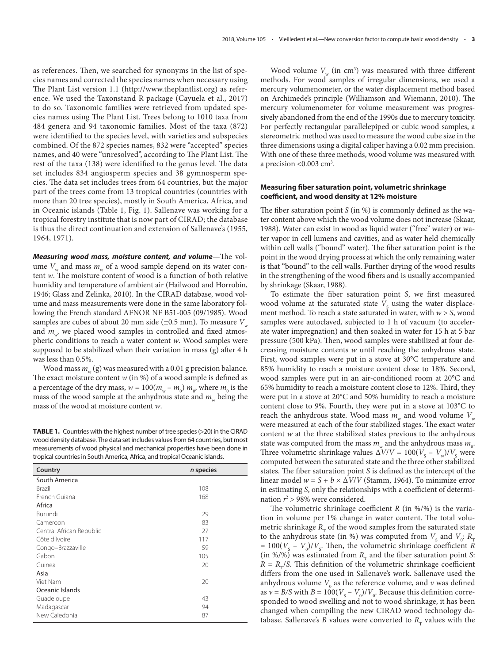as references. Then, we searched for synonyms in the list of species names and corrected the species names when necessary using The Plant List version 1.1 ([http://www.theplantlist.org\)](http://www.theplantlist.org) as reference. We used the Taxonstand R package (Cayuela et al., 2017) to do so. Taxonomic families were retrieved from updated species names using The Plant List. Trees belong to 1010 taxa from 484 genera and 94 taxonomic families. Most of the taxa (872) were identified to the species level, with varieties and subspecies combined. Of the 872 species names, 832 were "accepted" species names, and 40 were "unresolved", according to The Plant List. The rest of the taxa (138) were identified to the genus level. The data set includes 834 angiosperm species and 38 gymnosperm species. The data set includes trees from 64 countries, but the major part of the trees come from 13 tropical countries (countries with more than 20 tree species), mostly in South America, Africa, and in Oceanic islands (Table 1, Fig. 1). Sallenave was working for a tropical forestry institute that is now part of CIRAD; the database is thus the direct continuation and extension of Sallenave's (1955, 1964, 1971).

*Measuring wood mass, moisture content, and volume*—The volume  $V_w$  and mass  $m_w$  of a wood sample depend on its water content *w*. The moisture content of wood is a function of both relative humidity and temperature of ambient air (Hailwood and Horrobin, 1946; Glass and Zelinka, 2010). In the CIRAD database, wood volume and mass measurements were done in the same laboratory following the French standard AFNOR NF B51-005 (09/1985). Wood samples are cubes of about 20 mm side ( $\pm$ 0.5 mm). To measure *V*<sub>w</sub> and  $m_{\nu}$ , we placed wood samples in controlled and fixed atmospheric conditions to reach a water content *w*. Wood samples were supposed to be stabilized when their variation in mass (g) after 4 h was less than 0.5%.

Wood mass  $m_w$  (g) was measured with a 0.01 g precision balance. The exact moisture content *w* (in %) of a wood sample is defined as a percentage of the dry mass,  $w = 100(m_w - m_0) m_0$ , where  $m_0$  is the mass of the wood sample at the anhydrous state and  $m_{\nu}$  being the mass of the wood at moisture content *w*.

**TABLE 1.** Countries with the highest number of tree species (>20) in the CIRAD wood density database. The data set includes values from 64 countries, but most measurements of wood physical and mechanical properties have been done in tropical countries in South America, Africa, and tropical Oceanic islands.

| n species |
|-----------|
|           |
| 108       |
| 168       |
|           |
| 29        |
| 83        |
| 27        |
| 117       |
| 59        |
| 105       |
| 20        |
|           |
| 20        |
|           |
| 43        |
| 94        |
| 87        |
|           |

Wood volume  $V_w$  (in cm<sup>3</sup>) was measured with three different methods. For wood samples of irregular dimensions, we used a mercury volumenometer, or the water displacement method based on Archimede's principle (Williamson and Wiemann, 2010). The mercury volumenometer for volume measurement was progressively abandoned from the end of the 1990s due to mercury toxicity. For perfectly rectangular parallelepiped or cubic wood samples, a stereometric method was used to measure the wood cube size in the three dimensions using a digital caliper having a 0.02 mm precision. With one of these three methods, wood volume was measured with a precision <0.003 cm<sup>3</sup>.

## **Measuring fiber saturation point, volumetric shrinkage coefficient, and wood density at 12% moisture**

The fiber saturation point *S* (in %) is commonly defined as the water content above which the wood volume does not increase (Skaar, 1988). Water can exist in wood as liquid water ("free" water) or water vapor in cell lumens and cavities, and as water held chemically within cell walls ("bound" water). The fiber saturation point is the point in the wood drying process at which the only remaining water is that "bound" to the cell walls. Further drying of the wood results in the strengthening of the wood fibers and is usually accompanied by shrinkage (Skaar, 1988).

To estimate the fiber saturation point *S*, we first measured wood volume at the saturated state  $V<sub>S</sub>$  using the water displacement method. To reach a state saturated in water, with *w* > *S*, wood samples were autoclaved, subjected to 1 h of vacuum (to accelerate water impregnation) and then soaked in water for 15 h at 5 bar pressure (500 kPa). Then, wood samples were stabilized at four decreasing moisture contents *w* until reaching the anhydrous state. First, wood samples were put in a stove at 30°C temperature and 85% humidity to reach a moisture content close to 18%. Second, wood samples were put in an air-conditioned room at 20°C and 65% humidity to reach a moisture content close to 12%. Third, they were put in a stove at 20°C and 50% humidity to reach a moisture content close to 9%. Fourth, they were put in a stove at 103°C to reach the anhydrous state. Wood mass  $m_{w}$  and wood volume  $V_{w}$ were measured at each of the four stabilized stages. The exact water content *w* at the three stabilized states previous to the anhydrous state was computed from the mass  $m_{w}$  and the anhydrous mass  $m_{0}$ . Three volumetric shrinkage values  $\Delta V/V = 100(V_s - V_w)/V_s$  were computed between the saturated state and the three other stabilized states. The fiber saturation point *S* is defined as the intercept of the linear model  $w = S + b \times \Delta V/V$  (Stamm, 1964). To minimize error in estimating *S*, only the relationships with a coefficient of determination  $r^2 > 98\%$  were considered.

The volumetric shrinkage coefficient *R* (in %/%) is the variation in volume per 1% change in water content. The total volumetric shrinkage  $R_{\rm r}$  of the wood samples from the saturated state to the anhydrous state (in %) was computed from  $V_{\text{s}}$  and  $V_{\text{o}}$ :  $R_{\text{\tiny T}}$  $= 100(V<sub>S</sub> - V<sub>0</sub>)/V<sub>S</sub>$ . Then, the volumetric shrinkage coefficient *R*  $(in %/%)$  was estimated from  $R<sub>T</sub>$  and the fiber saturation point *S*:  $R = R<sub>T</sub>/S$ . This definition of the volumetric shrinkage coefficient differs from the one used in Sallenave's work. Sallenave used the anhydrous volume  $V_0$  as the reference volume, and  $\nu$  was defined as  $v = B/S$  with  $B = 100(V_s - V_0)/V_0$ . Because this definition corresponded to wood swelling and not to wood shrinkage, it has been changed when compiling the new CIRAD wood technology database. Sallenave's *B* values were converted to  $R_{\tau}$  values with the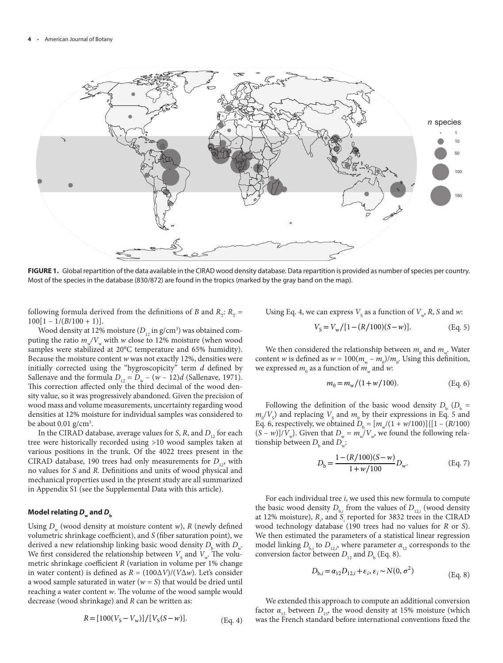

**FIGURE 1.** Global repartition of the data available in the CIRAD wood density database. Data repartition is provided as number of species per country. Most of the species in the database (830/872) are found in the tropics (marked by the gray band on the map).

following formula derived from the definitions of *B* and  $R_T$ :  $R_T =$  $100[1 - 1/(B/100 + 1)].$ 

Wood density at 12% moisture  $(D_{12} \text{ in g/cm}^3)$  was obtained computing the ratio  $m\sqrt{V_w}$  with *w* close to 12% moisture (when wood samples were stabilized at 20°C temperature and 65% humidity). Because the moisture content *w* was not exactly 12%, densities were initially corrected using the "hygroscopicity" term *d* defined by Sallenave and the formula  $D_{12} = D_w - (w - 12)d$  (Sallenave, 1971). This correction affected only the third decimal of the wood density value, so it was progressively abandoned. Given the precision of wood mass and volume measurements, uncertainty regarding wood densities at 12% moisture for individual samples was considered to be about  $0.01$  g/cm<sup>3</sup>.

In the CIRAD database, average values for *S*, *R*, and  $D_{12}$  for each tree were historically recorded using >10 wood samples taken at various positions in the trunk. Of the 4022 trees present in the CIRAD database, 190 trees had only measurements for *D*<sub>12</sub>, with no values for *S* and *R*. Definitions and units of wood physical and mechanical properties used in the present study are all summarized in Appendix S1 (see the Supplemental Data with this article).

## Model relating  $D_w$  and  $D_b$

Using  $D_w$  (wood density at moisture content *w*),  $R$  (newly defined volumetric shrinkage coefficient), and *S* (fiber saturation point), we derived a new relationship linking basic wood density  $D_{_{\rm b}}$  with  $D_{_{\rm w}}.$ We first considered the relationship between  $V_s$  and  $V_w$ . The volumetric shrinkage coefficient *R* (variation in volume per 1% change in water content) is defined as *R* = (100∆*V*)/(*V*∆*w*). Let's consider a wood sample saturated in water (*w = S*) that would be dried until reaching a water content *w*. The volume of the wood sample would decrease (wood shrinkage) and *R* can be written as:

$$
R = [100(VS - Vw)] / [VS(S - w)].
$$
 (Eq. 4)

Using Eq. 4, we can express  $V_s$  as a function of  $V_w$ , R, S and *w*:

$$
V_{\rm S} = V_{\rm w}/[1 - (R/100)(S - w)].
$$
 (Eq. 5)

We then considered the relationship between  $m_{\text{o}}$  and  $m_{\text{w}}$ . Water content *w* is defined as  $w = 100(m_w - m_0)/m_0$ . Using this definition, we expressed  $m_{\text{o}}$  as a function of  $m_{\text{w}}$  and *w*:

$$
m_0 = m_w / (1 + w / 100).
$$
 (Eq. 6)

Following the definition of the basic wood density  $D_{\rm b}$  ( $D_{\rm b}$  =  $m_0/V_s$ ) and replacing  $V_s$  and  $m_0$  by their expressions in Eq. 5 and Eq. 6, respectively, we obtained  $D_b = [m_w/(1 + w/100)]\{[1 - (R/100)\}$  $(S - w)/V_w$ . Given that  $D_w = m_w/V_w$ , we found the following relationship between  $D_{\text{b}}$  and  $D_{\text{w}}$ :

$$
D_{\rm b} = \frac{1 - (R/100)(S - w)}{1 + w/100} D_{\rm w}.
$$
 (Eq. 7)

For each individual tree *i*, we used this new formula to compute the basic wood density  $D_{b,i}$  from the values of  $D_{12,i}$  (wood density at 12% moisture),  $R$ <sub>*<sub>i</sub>*</sub> and *S*<sub>*i*</sub> reported for 3832 trees in the CIRAD wood technology database (190 trees had no values for *R* or *S*). We then estimated the parameters of a statistical linear regression model linking  $D_{\text{b},i}$  to  $D_{12,i}$ , where parameter  $\alpha_{12}$  corresponds to the conversion factor between  $D_{12}$  and  $D_{b}$  (Eq. 8).

$$
D_{b,i} = \alpha_{12} D_{12,i} + \varepsilon_i, \varepsilon_i \sim N(0, \sigma^2)
$$
 (Eq. 8)

We extended this approach to compute an additional conversion factor  $\alpha_{15}$  between  $D_{15}$ , the wood density at 15% moisture (which was the French standard before international conventions fixed the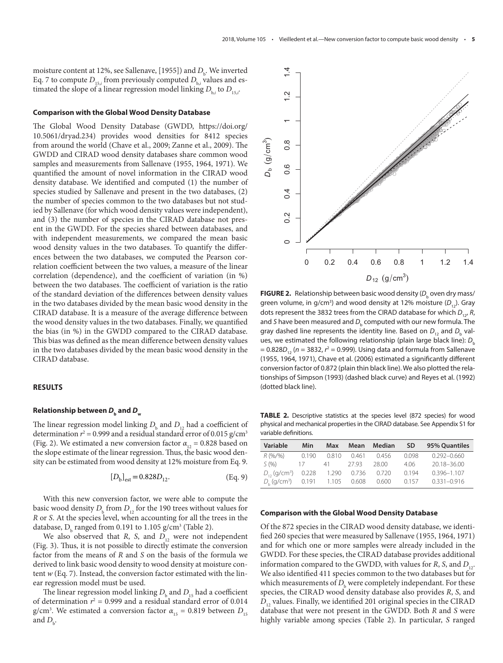moisture content at 12%, see Sallenave, [1955]) and  $D_{\mathrm{b}}$  . We inverted Eq. 7 to compute  $D_{15,i}$  from previously computed  $D_{b,i}$  values and estimated the slope of a linear regression model linking  $D_{_{\mathrm{b},i}}$  to  $D_{_{15,i}}$ .

#### **Comparison with the Global Wood Density Database**

The Global Wood Density Database (GWDD, [https://doi.org/](https://doi.org/10.5061/dryad.234) [10.5061/dryad.234\)](https://doi.org/10.5061/dryad.234) provides wood densities for 8412 species from around the world (Chave et al., 2009; Zanne et al., 2009). The GWDD and CIRAD wood density databases share common wood samples and measurements from Sallenave (1955, 1964, 1971). We quantified the amount of novel information in the CIRAD wood density database. We identified and computed (1) the number of species studied by Sallenave and present in the two databases, (2) the number of species common to the two databases but not studied by Sallenave (for which wood density values were independent), and (3) the number of species in the CIRAD database not present in the GWDD. For the species shared between databases, and with independent measurements, we compared the mean basic wood density values in the two databases. To quantify the differences between the two databases, we computed the Pearson correlation coefficient between the two values, a measure of the linear correlation (dependence), and the coefficient of variation (in %) between the two databases. The coefficient of variation is the ratio of the standard deviation of the differences between density values in the two databases divided by the mean basic wood density in the CIRAD database. It is a measure of the average difference between the wood density values in the two databases. Finally, we quantified the bias (in %) in the GWDD compared to the CIRAD database. This bias was defined as the mean difference between density values in the two databases divided by the mean basic wood density in the CIRAD database.

## **RESULTS**

## **Relationship between**  $D_{\rm k}$  **and**  $D_{\rm w}$

The linear regression model linking  $D_{\rm b}$  and  $D_{\rm 12}$  had a coefficient of determination  $r^2$  = 0.999 and a residual standard error of 0.015 g/cm<sup>3</sup> (Fig. 2). We estimated a new conversion factor  $\alpha_{12} = 0.828$  based on the slope estimate of the linear regression. Thus, the basic wood density can be estimated from wood density at 12% moisture from Eq. 9.

$$
[D_{\rm b}]_{\rm est} = 0.828 D_{12}.
$$
 (Eq. 9)

With this new conversion factor, we were able to compute the basic wood density  $D_{\rm b}$  from  $D_{\rm 12}$  for the 190 trees without values for *R* or *S*. At the species level, when accounting for all the trees in the database,  $D_b$  ranged from 0.191 to 1.105 g/cm<sup>3</sup> (Table 2).

We also observed that *R*, *S*, and  $D_{12}$  were not independent (Fig. 3). Thus, it is not possible to directly estimate the conversion factor from the means of *R* and *S* on the basis of the formula we derived to link basic wood density to wood density at moisture content *w* (Eq. 7). Instead, the conversion factor estimated with the linear regression model must be used.

The linear regression model linking  $D_{\rm b}$  and  $D_{\rm 15}$  had a coefficient of determination  $r^2 = 0.999$  and a residual standard error of 0.014 g/cm<sup>3</sup>. We estimated a conversion factor  $\alpha_{15} = 0.819$  between  $D_{15}$ and  $D_{\rm b}$ .



**FIGURE 2.** Relationship between basic wood density ( $D_{\mathrm{b}}$  oven dry mass/ green volume, in g/cm<sup>3</sup>) and wood density at 12% moisture (D<sub>12</sub>). Gray dots represent the 3832 trees from the CIRAD database for which  $D_{12}$ , *R*, and *S* have been measured and  $D_{_{\rm b}}$  computed with our new formula. The gray dashed line represents the identity line. Based on  $D_{_{12}}$  and  $D_{_{\rm b}}$  values, we estimated the following relationship (plain large black line):  $D<sub>b</sub>$ = 0.828*D*12 (*n* = 3832, *r* 2 = 0.999). Using data and formula from Sallenave (1955, 1964, 1971), Chave et al. (2006) estimated a significantly different conversion factor of 0.872 (plain thin black line). We also plotted the relationships of Simpson (1993) (dashed black curve) and Reyes et al. (1992) (dotted black line).

**TABLE 2.** Descriptive statistics at the species level (872 species) for wood physical and mechanical properties in the CIRAD database. See Appendix S1 for variable definitions.

| Variable                                        | Min   | <b>Max</b> | Mean  | <b>Median</b> | <b>SD</b> | 95% Quantiles   |
|-------------------------------------------------|-------|------------|-------|---------------|-----------|-----------------|
| R(96/96)                                        | 0.190 | 0.810      | 0.461 | 0.456         | 0.098     | $0.292 - 0.660$ |
| S(96)                                           | 17    | 41         | 27.93 | 28.00         | 406       | 20.18-36.00     |
| $D_{12}$ (g/cm <sup>3</sup> ) 0.228 1.290 0.736 |       |            |       | 0.720         | 0.194     | $0.396 - 1.107$ |
| D, $(q/cm^3)$ 0.191 1.105 0.608                 |       |            |       | 0.600         | 0.157     | $0.331 - 0.916$ |

#### **Comparison with the Global Wood Density Database**

Of the 872 species in the CIRAD wood density database, we identified 260 species that were measured by Sallenave (1955, 1964, 1971) and for which one or more samples were already included in the GWDD. For these species, the CIRAD database provides additional information compared to the GWDD, with values for *R*, *S*, and  $D_{12}$ . We also identified 411 species common to the two databases but for which measurements of  $D_{\!_{\rm b}}$  were completely independant. For these species, the CIRAD wood density database also provides *R*, *S*, and  $D_{12}$  values. Finally, we identified 201 original species in the CIRAD database that were not present in the GWDD. Both *R* and *S* were highly variable among species (Table 2). In particular, *S* ranged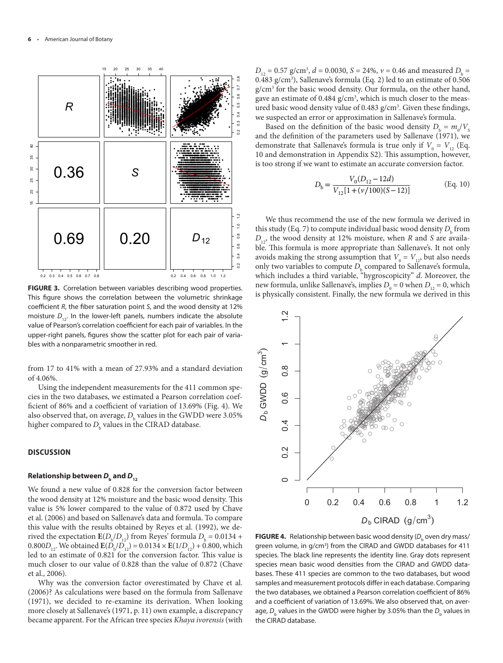

**FIGURE 3.** Correlation between variables describing wood properties. This figure shows the correlation between the volumetric shrinkage coefficient *R*, the fiber saturation point *S*, and the wood density at 12% moisture  $D_{12}$ . In the lower-left panels, numbers indicate the absolute value of Pearson's correlation coefficient for each pair of variables. In the upper-right panels, figures show the scatter plot for each pair of variables with a nonparametric smoother in red.

from 17 to 41% with a mean of 27.93% and a standard deviation of 4.06%.

Using the independent measurements for the 411 common species in the two databases, we estimated a Pearson correlation coefficient of 86% and a coefficient of variation of 13.69% (Fig. 4). We also observed that, on average,  $D_{\rm b}$  values in the GWDD were 3.05% higher compared to  $D_{_{\rm b}}$  values in the CIRAD database.

#### **DISCUSSION**

## **Relationship between**  $D_{\mu}$  **and**  $D_{12}$

We found a new value of 0.828 for the conversion factor between the wood density at 12% moisture and the basic wood density. This value is 5% lower compared to the value of 0.872 used by Chave et al. (2006) and based on Sallenave's data and formula. To compare this value with the results obtained by Reyes et al. (1992), we derived the expectation  $\mathbf{E}(D_b/D_{12})$  from Reyes' formula  $D_b = 0.0134 + 1$ 0.800 $D_{12}$ . We obtained  $E(D_b/D_{12}) = 0.0134 \times E(1/D_{12}) + 0.800$ , which led to an estimate of 0.821 for the conversion factor. This value is much closer to our value of 0.828 than the value of 0.872 (Chave et al., 2006).

Why was the conversion factor overestimated by Chave et al. (2006)? As calculations were based on the formula from Sallenave (1971), we decided to re-examine its derivation. When looking more closely at Sallenave's (1971, p. 11) own example, a discrepancy became apparent. For the African tree species *Khaya ivorensis* (with

 $D_{12} = 0.57$  g/cm<sup>3</sup>,  $d = 0.0030$ ,  $S = 24\%$ ,  $v = 0.46$  and measured  $D_{b} =$ 0.483 g/cm<sup>3</sup>), Sallenave's formula (Eq. 2) led to an estimate of 0.506 g/cm3 for the basic wood density. Our formula, on the other hand, gave an estimate of 0.484 g/cm<sup>3</sup>, which is much closer to the measured basic wood density value of 0.483 g/cm<sup>3</sup>. Given these findings, we suspected an error or approximation in Sallenave's formula.

Based on the definition of the basic wood density  $D_b = m_0/V_s$ and the definition of the parameters used by Sallenave (1971), we demonstrate that Sallenave's formula is true only if  $V_0 = V_{12}$  (Eq. 10 and demonstration in Appendix S2). This assumption, however, is too strong if we want to estimate an accurate conversion factor.

$$
D_{\rm b} = \frac{V_0 (D_{12} - 12d)}{V_{12} [1 + (v/100)(S - 12)]}
$$
 (Eq. 10)

We thus recommend the use of the new formula we derived in this study (Eq. 7) to compute individual basic wood density  $D_{\mathrm{b}}$  from  $D_{12}$ , the wood density at 12% moisture, when *R* and *S* are available. This formula is more appropriate than Sallenave's. It not only avoids making the strong assumption that  $V_0 = V_{12}$ , but also needs only two variables to compute  $D_{\rm b}$  compared to Sallenave's formula, which includes a third variable, "hygroscopicity" *d*. Moreover, the new formula, unlike Sallenave's, implies  $D_0 = 0$  when  $D_{12} = 0$ , which is physically consistent. Finally, the new formula we derived in this



**FIGURE 4.** Relationship between basic wood density ( $D_{_{\rm b}}$  oven dry mass/ green volume, in g/cm<sup>3</sup>) from the CIRAD and GWDD databases for 411 species. The black line represents the identity line. Gray dots represent species mean basic wood densities from the CIRAD and GWDD databases. These 411 species are common to the two databases, but wood samples and measurement protocols differ in each database. Comparing the two databases, we obtained a Pearson correlation coefficient of 86% and a coefficient of variation of 13.69%. We also observed that, on average,  $D_{_{\rm b}}$  values in the GWDD were higher by 3.05% than the  $D_{_{\rm b}}$  values in the CIRAD database.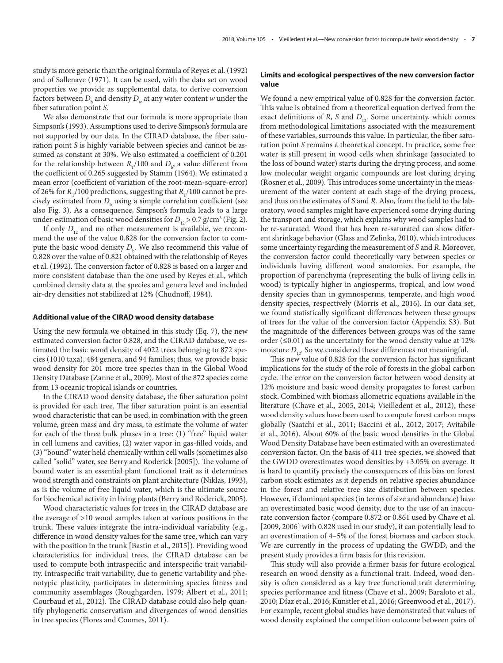study is more generic than the original formula of Reyes et al. (1992) and of Sallenave (1971). It can be used, with the data set on wood properties we provide as supplemental data, to derive conversion factors between  $D_{\text{b}}$  and density  $D_{\text{w}}$  at any water content *w* under the fiber saturation point *S*.

We also demonstrate that our formula is more appropriate than Simpson's (1993). Assumptions used to derive Simpson's formula are not supported by our data. In the CIRAD database, the fiber saturation point *S* is highly variable between species and cannot be assumed as constant at 30%. We also estimated a coefficient of 0.201 for the relationship between  $R_{\text{T}}/100$  and  $D_{\text{b}}$ , a value different from the coefficient of 0.265 suggested by Stamm (1964). We estimated a mean error (coefficient of variation of the root-mean-square-error) of 26% for  $R_{\tau}/100$  predictions, suggesting that  $R_{\tau}/100$  cannot be precisely estimated from  $D_{\rm b}$  using a simple correlation coefficient (see also Fig. 3). As a consequence, Simpson's formula leads to a large under-estimation of basic wood densities for  $D_{12}$  > 0.7 g/cm<sup>3</sup> (Fig. 2).

If only  $D_{12}$  and no other measurement is available, we recommend the use of the value 0.828 for the conversion factor to compute the basic wood density  $D_{\rm b}$ . We also recommend this value of 0.828 over the value of 0.821 obtained with the relationship of Reyes et al. (1992). The conversion factor of 0.828 is based on a larger and more consistent database than the one used by Reyes et al., which combined density data at the species and genera level and included air-dry densities not stabilized at 12% (Chudnoff, 1984).

#### **Additional value of the CIRAD wood density database**

Using the new formula we obtained in this study (Eq. 7), the new estimated conversion factor 0.828, and the CIRAD database, we estimated the basic wood density of 4022 trees belonging to 872 species (1010 taxa), 484 genera, and 94 families; thus, we provide basic wood density for 201 more tree species than in the Global Wood Density Database (Zanne et al., 2009). Most of the 872 species come from 13 oceanic tropical islands or countries.

In the CIRAD wood density database, the fiber saturation point is provided for each tree. The fiber saturation point is an essential wood characteristic that can be used, in combination with the green volume, green mass and dry mass, to estimate the volume of water for each of the three bulk phases in a tree: (1) "free" liquid water in cell lumens and cavities, (2) water vapor in gas-filled voids, and (3) "bound" water held chemically within cell walls (sometimes also called "solid" water, see Berry and Roderick [2005]). The volume of bound water is an essential plant functional trait as it determines wood strength and constraints on plant architecture (Niklas, 1993), as is the volume of free liquid water, which is the ultimate source for biochemical activity in living plants (Berry and Roderick, 2005).

Wood characteristic values for trees in the CIRAD database are the average of >10 wood samples taken at various positions in the trunk. These values integrate the intra-individual variability (e.g., difference in wood density values for the same tree, which can vary with the position in the trunk [Bastin et al., 2015]). Providing wood characteristics for individual trees, the CIRAD database can be used to compute both intraspecific and interspecific trait variability. Intraspecific trait variability, due to genetic variability and phenotypic plasticity, participates in determining species fitness and community assemblages (Roughgarden, 1979; Albert et al., 2011; Courbaud et al., 2012). The CIRAD database could also help quantify phylogenetic conservatism and divergences of wood densities in tree species (Flores and Coomes, 2011).

## **Limits and ecological perspectives of the new conversion factor value**

We found a new empirical value of 0.828 for the conversion factor. This value is obtained from a theoretical equation derived from the exact definitions of *R*, *S* and  $D_{12}$ . Some uncertainty, which comes from methodological limitations associated with the measurement of these variables, surrounds this value. In particular, the fiber saturation point *S* remains a theoretical concept. In practice, some free water is still present in wood cells when shrinkage (associated to the loss of bound water) starts during the drying process, and some low molecular weight organic compounds are lost during drying (Rosner et al., 2009). This introduces some uncertainty in the measurement of the water content at each stage of the drying process, and thus on the estimates of *S* and *R*. Also, from the field to the laboratory, wood samples might have experienced some drying during the transport and storage, which explains why wood samples had to be re-saturated. Wood that has been re-saturated can show different shrinkage behavior (Glass and Zelinka, 2010), which introduces some uncertainty regarding the measurement of *S* and *R*. Moreover, the conversion factor could theoretically vary between species or individuals having different wood anatomies. For example, the proportion of parenchyma (representing the bulk of living cells in wood) is typically higher in angiosperms, tropical, and low wood density species than in gymnosperms, temperate, and high wood density species, respectively (Morris et al., 2016). In our data set, we found statistically significant differences between these groups of trees for the value of the conversion factor (Appendix S3). But the magnitude of the differences between groups was of the same order ( $\leq 0.01$ ) as the uncertainty for the wood density value at 12% moisture  $D_{12}$ . So we considered these differences not meaningful.

This new value of 0.828 for the conversion factor has significant implications for the study of the role of forests in the global carbon cycle. The error on the conversion factor between wood density at 12% moisture and basic wood density propagates to forest carbon stock. Combined with biomass allometric equations available in the literature (Chave et al., 2005, 2014; Vieilledent et al., 2012), these wood density values have been used to compute forest carbon maps globally (Saatchi et al., 2011; Baccini et al., 2012, 2017; Avitabile et al., 2016). About 60% of the basic wood densities in the Global Wood Density Database have been estimated with an overestimated conversion factor. On the basis of 411 tree species, we showed that the GWDD overestimates wood densities by +3.05% on average. It is hard to quantify precisely the consequences of this bias on forest carbon stock estimates as it depends on relative species abundance in the forest and relative tree size distribution between species. However, if dominant species (in terms of size and abundance) have an overestimated basic wood density, due to the use of an inaccurate conversion factor (compare 0.872 or 0.861 used by Chave et al. [2009, 2006] with 0.828 used in our study), it can potentially lead to an overestimation of 4–5% of the forest biomass and carbon stock. We are currently in the process of updating the GWDD, and the present study provides a firm basis for this revision.

This study will also provide a firmer basis for future ecological research on wood density as a functional trait. Indeed, wood density is often considered as a key tree functional trait determining species performance and fitness (Chave et al., 2009; Baraloto et al., 2010; Díaz et al., 2016; Kunstler et al., 2016; Greenwood et al., 2017). For example, recent global studies have demonstrated that values of wood density explained the competition outcome between pairs of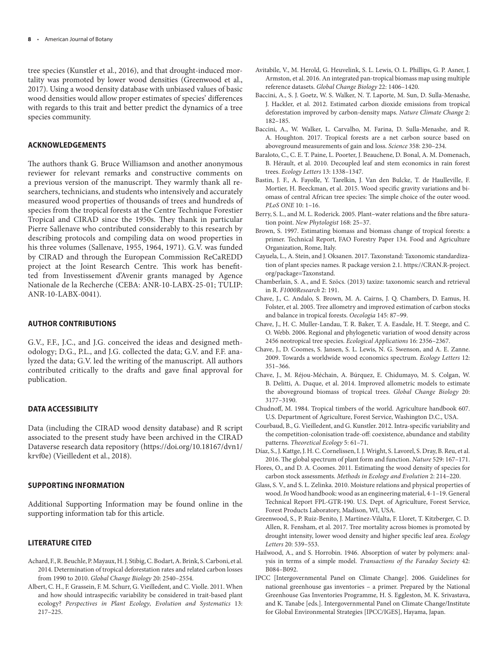tree species (Kunstler et al., 2016), and that drought-induced mortality was promoted by lower wood densities (Greenwood et al., 2017). Using a wood density database with unbiased values of basic wood densities would allow proper estimates of species' differences with regards to this trait and better predict the dynamics of a tree species community.

# **ACKNOWLEDGEMENTS**

The authors thank G. Bruce Williamson and another anonymous reviewer for relevant remarks and constructive comments on a previous version of the manuscript. They warmly thank all researchers, technicians, and students who intensively and accurately measured wood properties of thousands of trees and hundreds of species from the tropical forests at the Centre Technique Forestier Tropical and CIRAD since the 1950s. They thank in particular Pierre Sallenave who contributed considerably to this research by describing protocols and compiling data on wood properties in his three volumes (Sallenave, 1955, 1964, 1971). G.V. was funded by CIRAD and through the European Commission ReCaREDD project at the Joint Research Centre. This work has benefitted from Investissement d'Avenir grants managed by Agence Nationale de la Recherche (CEBA: ANR-10-LABX-25-01; TULIP: ANR-10-LABX-0041).

# **AUTHOR CONTRIBUTIONS**

G.V., F.F., J.C., and J.G. conceived the ideas and designed methodology; D.G., P.L., and J.G. collected the data; G.V. and F.F. analyzed the data; G.V. led the writing of the manuscript. All authors contributed critically to the drafts and gave final approval for publication.

# **DATA ACCESSIBILITY**

Data (including the CIRAD wood density database) and R script associated to the present study have been archived in the CIRAD Dataverse research data repository [\(https://doi.org/10.18167/dvn1/](https://doi.org/10.18167/dvn1/krvf0e) [krvf0e](https://doi.org/10.18167/dvn1/krvf0e)) (Vieilledent et al., 2018).

# **SUPPORTING INFORMATION**

Additional Supporting Information may be found online in the supporting information tab for this article.

# **LITERATURE CITED**

- Achard, F., R. Beuchle, P. Mayaux, H. J. Stibig, C. Bodart, A. Brink, S. Carboni, et al. 2014. Determination of tropical deforestation rates and related carbon losses from 1990 to 2010. *Global Change Biology* 20: 2540–2554.
- Albert, C. H., F. Grassein, F. M. Schurr, G. Vieilledent, and C. Violle. 2011. When and how should intraspecific variability be considered in trait-based plant ecology? *Perspectives in Plant Ecology, Evolution and Systematics* 13: 217–225.
- Avitabile, V., M. Herold, G. Heuvelink, S. L. Lewis, O. L. Phillips, G. P. Asner, J. Armston, et al. 2016. An integrated pan-tropical biomass map using multiple reference datasets. *Global Change Biology* 22: 1406–1420.
- Baccini, A., S. J. Goetz, W. S. Walker, N. T. Laporte, M. Sun, D. Sulla-Menashe, J. Hackler, et al. 2012. Estimated carbon dioxide emissions from tropical deforestation improved by carbon-density maps. *Nature Climate Change* 2: 182–185.
- Baccini, A., W. Walker, L. Carvalho, M. Farina, D. Sulla-Menashe, and R. A. Houghton. 2017. Tropical forests are a net carbon source based on aboveground measurements of gain and loss. *Science* 358: 230–234.
- Baraloto, C., C. E. T. Paine, L. Poorter, J. Beauchene, D. Bonal, A. M. Domenach, B. Hérault, et al. 2010. Decoupled leaf and stem economics in rain forest trees. *Ecology Letters* 13: 1338–1347.
- Bastin, J. F., A. Fayolle, Y. Tarelkin, J. Van den Bulcke, T. de Haulleville, F. Mortier, H. Beeckman, et al. 2015. Wood specific gravity variations and biomass of central African tree species: The simple choice of the outer wood. *PLoS ONE* 10: 1–16.
- Berry, S. L., and M. L. Roderick. 2005. Plant–water relations and the fibre saturation point. *New Phytologist* 168: 25–37.
- Brown, S. 1997. Estimating biomass and biomass change of tropical forests: a primer. Technical Report, FAO Forestry Paper 134. Food and Agriculture Organization, Rome, Italy.
- Cayuela, L., A. Stein, and J. Oksanen. 2017. Taxonstand: Taxonomic standardization of plant species names. R package version 2.1. [https://CRAN.R-project.](https://CRAN.R-project.org/package=Taxonstand) [org/package=Taxonstand](https://CRAN.R-project.org/package=Taxonstand).
- Chamberlain, S. A., and E. Szöcs. (2013) taxize: taxonomic search and retrieval in R. *F1000Research* 2: 191.
- Chave, J., C. Andalo, S. Brown, M. A. Cairns, J. Q. Chambers, D. Eamus, H. Folster, et al. 2005. Tree allometry and improved estimation of carbon stocks and balance in tropical forests. *Oecologia* 145: 87–99.
- Chave, J., H. C. Muller-Landau, T. R. Baker, T. A. Easdale, H. T. Steege, and C. O. Webb. 2006. Regional and phylogenetic variation of wood density across 2456 neotropical tree species. *Ecological Applications* 16: 2356–2367.
- Chave, J., D. Coomes, S. Jansen, S. L. Lewis, N. G. Swenson, and A. E. Zanne. 2009. Towards a worldwide wood economics spectrum. *Ecology Letters* 12: 351–366.
- Chave, J., M. Réjou-Méchain, A. Búrquez, E. Chidumayo, M. S. Colgan, W. B. Delitti, A. Duque, et al. 2014. Improved allometric models to estimate the aboveground biomass of tropical trees. *Global Change Biology* 20: 3177–3190.
- Chudnoff, M. 1984. Tropical timbers of the world. Agriculture handbook 607. U.S. Department of Agriculture, Forest Service, Washington D.C., USA.
- Courbaud, B., G. Vieilledent, and G. Kunstler. 2012. Intra-specific variability and the competition-colonisation trade-off: coexistence, abundance and stability patterns. *Theoretical Ecology* 5: 61–71.
- Díaz, S., J. Kattge, J. H. C. Cornelissen, I. J. Wright, S. Lavorel, S. Dray, B. Reu, et al. 2016. The global spectrum of plant form and function. *Nature* 529: 167–171.
- Flores, O., and D. A. Coomes. 2011. Estimating the wood density of species for carbon stock assessments. *Methods in Ecology and Evolution* 2: 214–220.
- Glass, S. V., and S. L. Zelinka. 2010. Moisture relations and physical properties of wood. *In* Wood handbook: wood as an engineering material, 4-1–19. General Technical Report FPL-GTR-190. U.S. Dept. of Agriculture, Forest Service, Forest Products Laboratory, Madison, WI, USA.
- Greenwood, S., P. Ruiz-Benito, J. Martínez-Vilalta, F. Lloret, T. Kitzberger, C. D. Allen, R. Fensham, et al. 2017. Tree mortality across biomes is promoted by drought intensity, lower wood density and higher specific leaf area. *Ecology Letters* 20: 539–553.
- Hailwood, A., and S. Horrobin. 1946. Absorption of water by polymers: analysis in terms of a simple model. *Transactions of the Faraday Society* 42: B084–B092.
- IPCC [Intergovernmental Panel on Climate Change]. 2006. Guidelines for national greenhouse gas inventories – a primer. Prepared by the National Greenhouse Gas Inventories Programme, H. S. Eggleston, M. K. Srivastava, and K. Tanabe [eds.]. Intergovernmental Panel on Climate Change/Institute for Global Environmental Strategies [IPCC/IGES], Hayama, Japan.